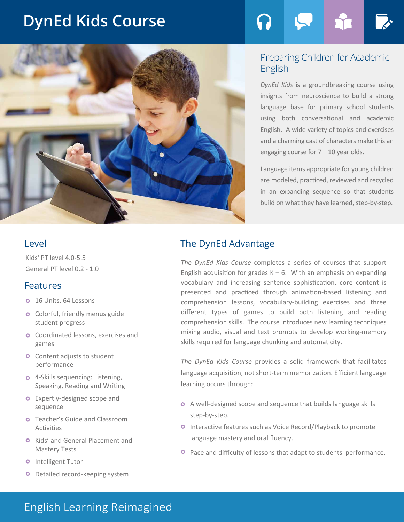# **DynEd Kids Course**



# Preparing Children for Academic English

*DynEd Kids* is a groundbreaking course using insights from neuroscience to build a strong language base for primary school students using both conversational and academic English. A wide variety of topics and exercises and a charming cast of characters make this an engaging course for  $7 - 10$  year olds.

Language items appropriate for young children are modeled, practiced, reviewed and recycled in an expanding sequence so that students build on what they have learned, step-by-step.

Kids' PT level 4.0-5.5 General PT level 0.2 - 1.0

### Features

- **o** 16 Units, 64 Lessons
- **o** Colorful, friendly menus guide student progress
- **o** Coordinated lessons, exercises and games
- **o** Content adjusts to student performance
- **o** 4-Skills sequencing: Listening, Speaking, Reading and Writing
- **o** Expertly-designed scope and sequence
- **O** Teacher's Guide and Classroom Activities
- **O** Kids' and General Placement and Mastery Tests
- **O** Intelligent Tutor
- Detailed record-keeping system  $\bullet$

# Level **The DynEd Advantage**

*The DynEd Kids Course* completes a series of courses that support English acquisition for grades  $K - 6$ . With an emphasis on expanding vocabulary and increasing sentence sophistication, core content is presented and practiced through animation-based listening and comprehension lessons, vocabulary-building exercises and three different types of games to build both listening and reading comprehension skills. The course introduces new learning techniques mixing audio, visual and text prompts to develop working-memory skills required for language chunking and automaticity.

*The DynEd Kids Course* provides a solid framework that facilitates language acquisition, not short-term memorization. Efficient language learning occurs through:

- A well-designed scope and sequence that builds language skills step-by-step.
- **O** Interactive features such as Voice Record/Playback to promote language mastery and oral fluency.
- Pace and difficulty of lessons that adapt to students' performance.

# English Learning Reimagined